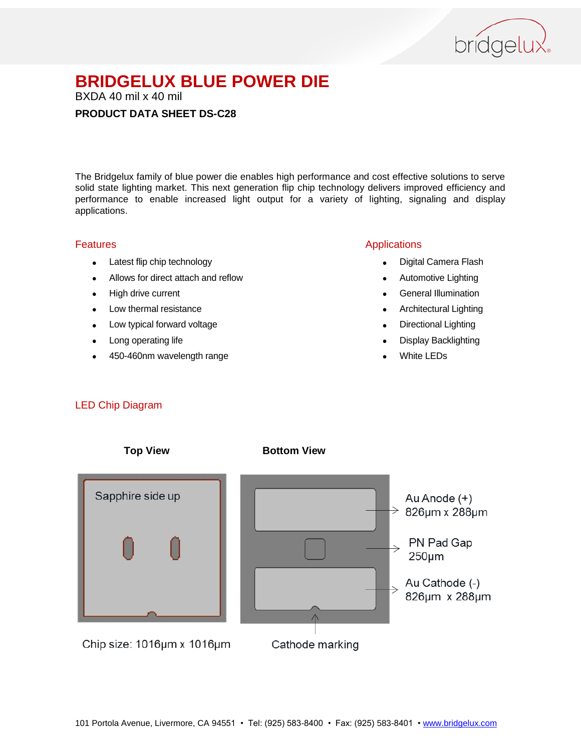

BXDA 40 mil x 40 mil

#### **PRODUCT DATA SHEET DS-C28**

The Bridgelux family of blue power die enables high performance and cost effective solutions to serve solid state lighting market. This next generation flip chip technology delivers improved efficiency and performance to enable increased light output for a variety of lighting, signaling and display applications.

#### Features

- Latest flip chip technology
- Allows for direct attach and reflow
- High drive current
- Low thermal resistance
- Low typical forward voltage
- Long operating life
- 450-460nm wavelength range

#### Applications

- Digital Camera Flash
- Automotive Lighting
- **•** General Illumination
- Architectural Lighting
- Directional Lighting
- Display Backlighting
- White LEDs

#### LED Chip Diagram

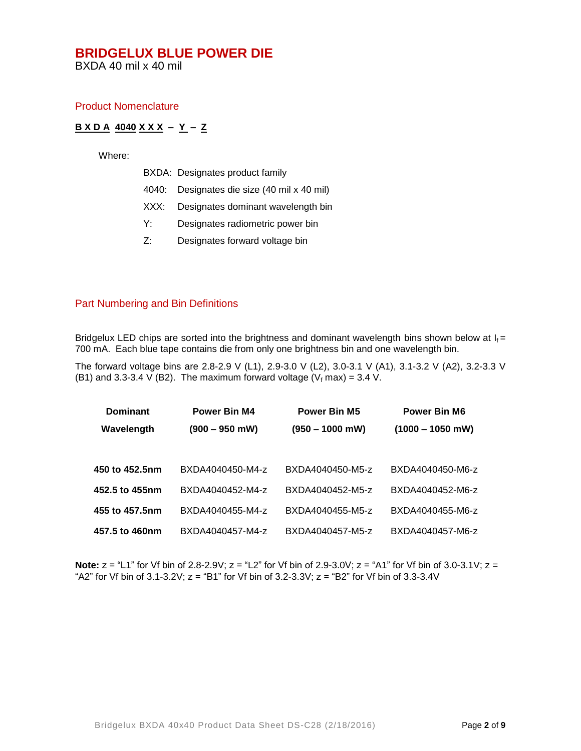BXDA 40 mil x 40 mil

#### Product Nomenclature

#### **B X D A 4040 X X X – Y – Z**

Where:

|  |  | BXDA: Designates product family |
|--|--|---------------------------------|
|--|--|---------------------------------|

- 4040: Designates die size (40 mil x 40 mil)
- XXX: Designates dominant wavelength bin
- Y: Designates radiometric power bin
- Z: Designates forward voltage bin

#### Part Numbering and Bin Definitions

Bridgelux LED chips are sorted into the brightness and dominant wavelength bins shown below at  $I_f =$ 700 mA. Each blue tape contains die from only one brightness bin and one wavelength bin.

The forward voltage bins are 2.8-2.9 V (L1), 2.9-3.0 V (L2), 3.0-3.1 V (A1), 3.1-3.2 V (A2), 3.2-3.3 V (B1) and 3.3-3.4 V (B2). The maximum forward voltage ( $V_f$  max) = 3.4 V.

| <b>Dominant</b> | Power Bin M4     | <b>Power Bin M5</b> | <b>Power Bin M6</b> |
|-----------------|------------------|---------------------|---------------------|
| Wavelength      | $(900 - 950$ mW) | $(950 - 1000$ mW)   | $(1000 - 1050$ mW)  |
|                 |                  |                     |                     |
| 450 to 452.5nm  | BXDA4040450-M4-z | BXDA4040450-M5-z    | BXDA4040450-M6-z    |
| 452.5 to 455nm  | BXDA4040452-M4-z | BXDA4040452-M5-z    | BXDA4040452-M6-z    |
| 455 to 457.5nm  | BXDA4040455-M4-z | BXDA4040455-M5-z    | BXDA4040455-M6-z    |
| 457.5 to 460nm  | BXDA4040457-M4-z | BXDA4040457-M5-z    | BXDA4040457-M6-z    |

**Note:**  $z =$  "L1" for Vf bin of 2.8-2.9V;  $z =$  "L2" for Vf bin of 2.9-3.0V;  $z =$  "A1" for Vf bin of 3.0-3.1V;  $z =$ "A2" for Vf bin of  $3.1$ - $3.2$ V;  $z =$  "B1" for Vf bin of  $3.2$ - $3.3$ V;  $z =$  "B2" for Vf bin of  $3.3$ - $3.4$ V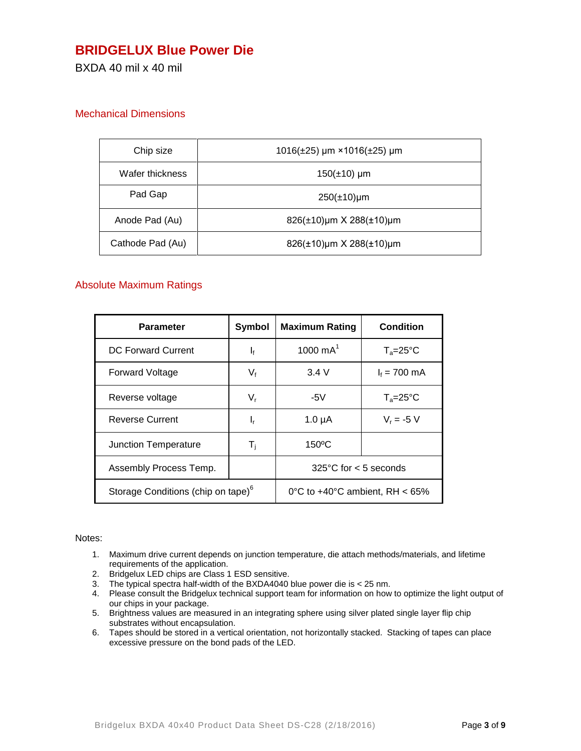### **BRIDGELUX Blue Power Die**

BXDA 40 mil x 40 mil

#### Mechanical Dimensions

| Chip size        | $1016(\pm 25)$ µm × 1016( $\pm 25$ ) µm |
|------------------|-----------------------------------------|
| Wafer thickness  | $150(\pm 10)$ µm                        |
| Pad Gap          | $250(\pm 10)\mu m$                      |
| Anode Pad (Au)   | $826(\pm 10)$ µm X 288( $\pm 10$ )µm    |
| Cathode Pad (Au) | 826(±10)µm X 288(±10)µm                 |

#### Absolute Maximum Ratings

| Parameter                                      | Symbol                  | <b>Maximum Rating</b>             | <b>Condition</b>    |
|------------------------------------------------|-------------------------|-----------------------------------|---------------------|
| DC Forward Current                             | $\mathbf{l}_{\text{f}}$ | 1000 $mA^1$                       | $T_a = 25^{\circ}C$ |
| <b>Forward Voltage</b>                         | $V_{f}$                 | 3.4 V                             | $I_f = 700$ mA      |
| Reverse voltage                                | $V_{r}$                 | -5 $V$                            | $T_a = 25^{\circ}C$ |
| <b>Reverse Current</b>                         | ı,                      | $1.0 \mu A$                       | $V_r = -5 V$        |
| Junction Temperature                           | T,                      | $150^{\circ}$ C                   |                     |
| Assembly Process Temp.                         |                         | $325^{\circ}$ C for $< 5$ seconds |                     |
| Storage Conditions (chip on tape) <sup>o</sup> |                         | 0°C to $+40$ °C ambient, RH < 65% |                     |

#### Notes:

- 1. Maximum drive current depends on junction temperature, die attach methods/materials, and lifetime requirements of the application.
- 2. Bridgelux LED chips are Class 1 ESD sensitive.
- 3. The typical spectra half-width of the BXDA4040 blue power die is < 25 nm.
- 4. Please consult the Bridgelux technical support team for information on how to optimize the light output of our chips in your package.
- 5. Brightness values are measured in an integrating sphere using silver plated single layer flip chip substrates without encapsulation.
- 6. Tapes should be stored in a vertical orientation, not horizontally stacked. Stacking of tapes can place excessive pressure on the bond pads of the LED.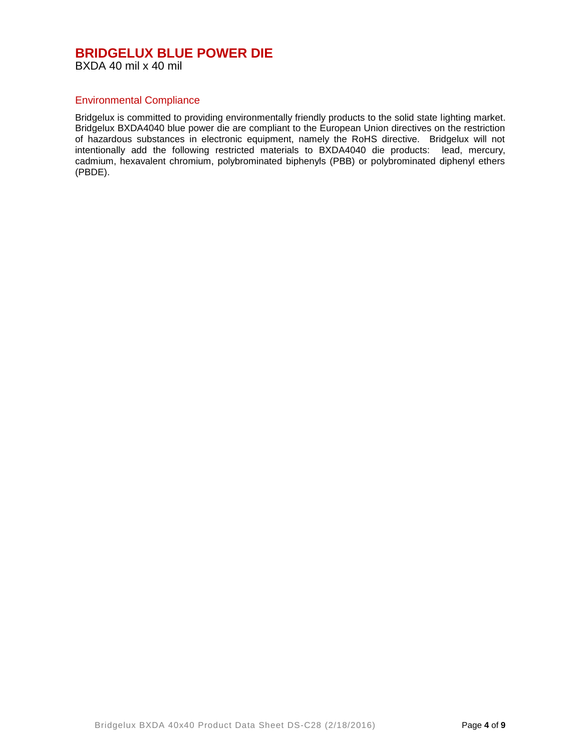#### **BRIDGELUX BLUE POWER DIE** BXDA 40 mil x 40 mil

#### Environmental Compliance

Bridgelux is committed to providing environmentally friendly products to the solid state lighting market. Bridgelux BXDA4040 blue power die are compliant to the European Union directives on the restriction of hazardous substances in electronic equipment, namely the RoHS directive. Bridgelux will not intentionally add the following restricted materials to BXDA4040 die products: lead, mercury, cadmium, hexavalent chromium, polybrominated biphenyls (PBB) or polybrominated diphenyl ethers (PBDE).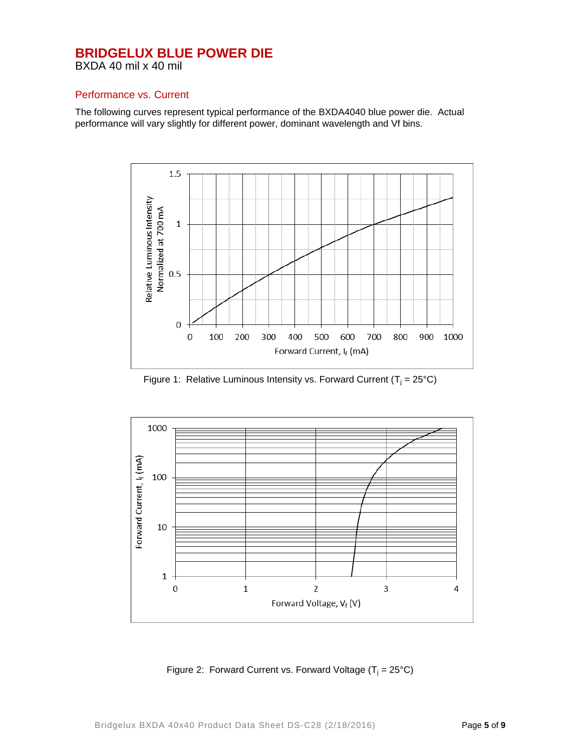BXDA 40 mil x 40 mil

#### Performance vs. Current

The following curves represent typical performance of the BXDA4040 blue power die. Actual performance will vary slightly for different power, dominant wavelength and Vf bins.



Figure 1: Relative Luminous Intensity vs. Forward Current ( $T_i = 25^{\circ}C$ )



Figure 2: Forward Current vs. Forward Voltage  $(T_i = 25^{\circ}C)$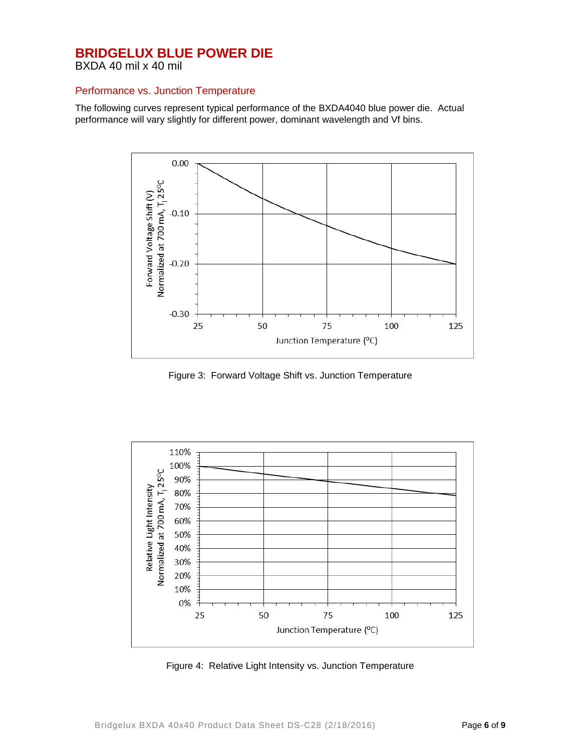BXDA 40 mil x 40 mil

#### Performance vs. Junction Temperature

The following curves represent typical performance of the BXDA4040 blue power die. Actual performance will vary slightly for different power, dominant wavelength and Vf bins.



Figure 3: Forward Voltage Shift vs. Junction Temperature



Figure 4: Relative Light Intensity vs. Junction Temperature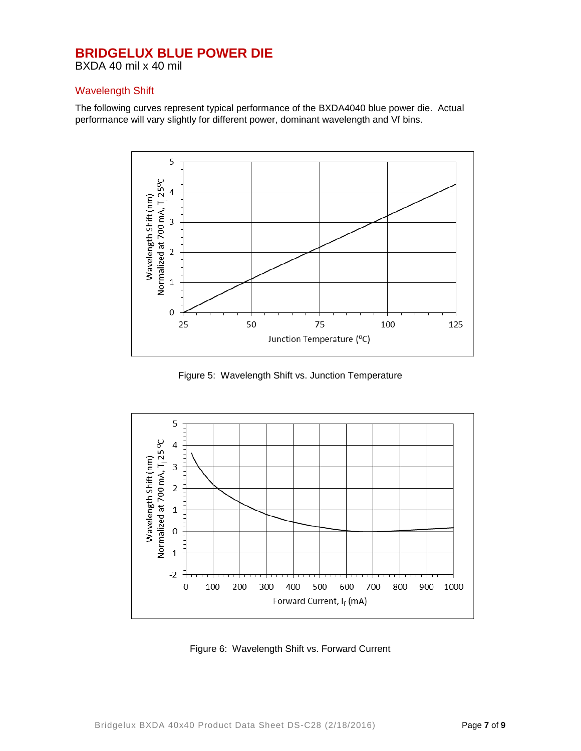BXDA 40 mil x 40 mil

#### Wavelength Shift

The following curves represent typical performance of the BXDA4040 blue power die. Actual performance will vary slightly for different power, dominant wavelength and Vf bins.



Figure 5: Wavelength Shift vs. Junction Temperature



Figure 6: Wavelength Shift vs. Forward Current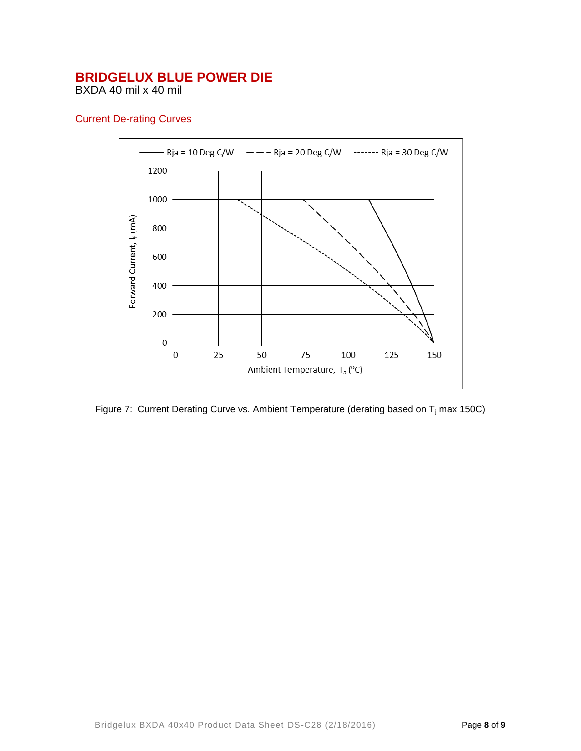BXDA 40 mil x 40 mil

#### Current De-rating Curves



Figure 7: Current Derating Curve vs. Ambient Temperature (derating based on  $T_i$  max 150C)